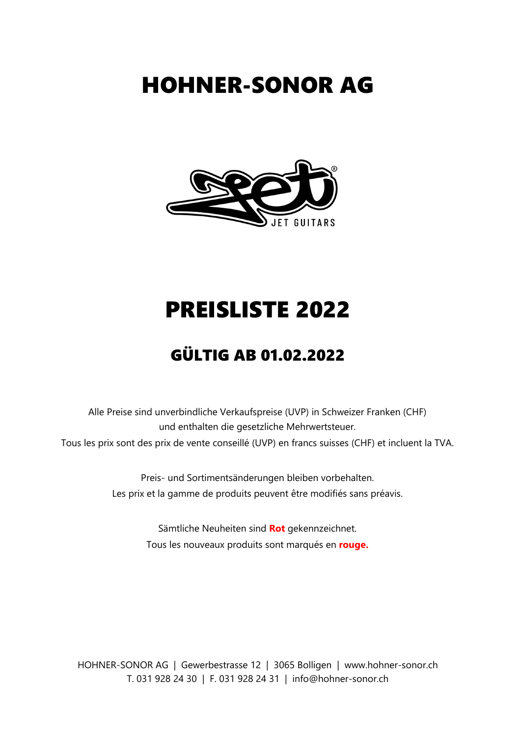## HOHNER-SONOR AG



## PREISLISTE 2022

## GÜLTIG AB 01.02.2022

Tous les prix sont des prix de vente conseillé (UVP) en francs suisses (CHF) et incluent la TVA. Alle Preise sind unverbindliche Verkaufspreise (UVP) in Schweizer Franken (CHF) und enthalten die gesetzliche Mehrwertsteuer.

> Preis- und Sortimentsänderungen bleiben vorbehalten. Les prix et la gamme de produits peuvent être modifiés sans préavis.

> > Sämtliche Neuheiten sind **Rot** gekennzeichnet. Tous les nouveaux produits sont marqués en **rouge.**

HOHNER-SONOR AG | Gewerbestrasse 12 | 3065 Bolligen | www.hohner-sonor.ch T. 031 928 24 30 | F. 031 928 24 31 | info@hohner-sonor.ch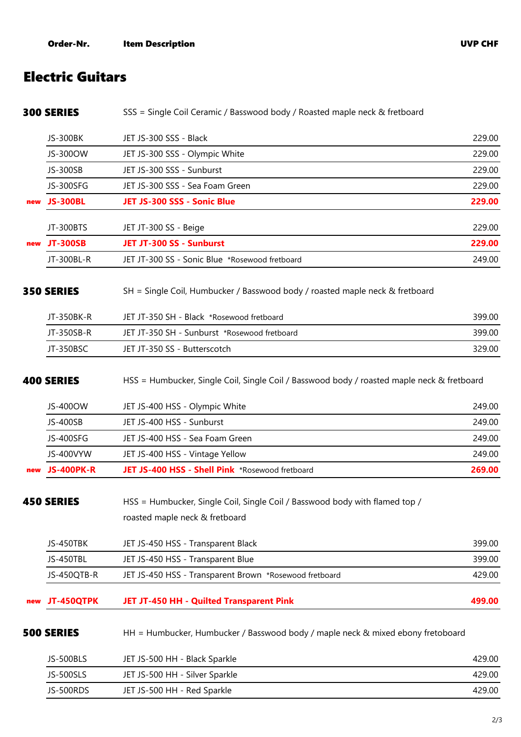## Electric Guitars

|     | <b>300 SERIES</b> | SSS = Single Coil Ceramic / Basswood body / Roasted maple neck & fretboard                                    |        |
|-----|-------------------|---------------------------------------------------------------------------------------------------------------|--------|
|     | JS-300BK          | JET JS-300 SSS - Black                                                                                        | 229.00 |
|     | JS-300OW          | JET JS-300 SSS - Olympic White                                                                                | 229.00 |
|     | JS-300SB          | JET JS-300 SSS - Sunburst                                                                                     | 229.00 |
|     | JS-300SFG         | JET JS-300 SSS - Sea Foam Green                                                                               | 229.00 |
| new | <b>JS-300BL</b>   | JET JS-300 SSS - Sonic Blue                                                                                   | 229.00 |
|     | JT-300BTS         | JET JT-300 SS - Beige                                                                                         | 229.00 |
| new | <b>JT-300SB</b>   | JET JT-300 SS - Sunburst                                                                                      | 229.00 |
|     | JT-300BL-R        | JET JT-300 SS - Sonic Blue *Rosewood fretboard                                                                | 249.00 |
|     | <b>350 SERIES</b> | SH = Single Coil, Humbucker / Basswood body / roasted maple neck & fretboard                                  |        |
|     | JT-350BK-R        | JET JT-350 SH - Black *Rosewood fretboard                                                                     | 399.00 |
|     | JT-350SB-R        | JET JT-350 SH - Sunburst *Rosewood fretboard                                                                  | 399.00 |
|     | JT-350BSC         | JET JT-350 SS - Butterscotch                                                                                  | 329.00 |
|     | <b>400 SERIES</b> | HSS = Humbucker, Single Coil, Single Coil / Basswood body / roasted maple neck & fretboard                    |        |
|     | JS-400OW          | JET JS-400 HSS - Olympic White                                                                                | 249.00 |
|     | JS-400SB          | JET JS-400 HSS - Sunburst                                                                                     | 249.00 |
|     | JS-400SFG         | JET JS-400 HSS - Sea Foam Green                                                                               | 249.00 |
|     | JS-400VYW         | JET JS-400 HSS - Vintage Yellow                                                                               | 249.00 |
| new | <b>JS-400PK-R</b> | JET JS-400 HSS - Shell Pink *Rosewood fretboard                                                               | 269.00 |
|     | <b>450 SERIES</b> | HSS = Humbucker, Single Coil, Single Coil / Basswood body with flamed top /<br>roasted maple neck & fretboard |        |
|     | JS-450TBK         | JET JS-450 HSS - Transparent Black                                                                            | 399.00 |
|     | JS-450TBL         | JET JS-450 HSS - Transparent Blue                                                                             | 399.00 |
|     | JS-450QTB-R       | JET JS-450 HSS - Transparent Brown *Rosewood fretboard                                                        | 429.00 |
| new | JT-450QTPK        | JET JT-450 HH - Quilted Transparent Pink                                                                      | 499.00 |
|     | <b>500 SERIES</b> | HH = Humbucker, Humbucker / Basswood body / maple neck & mixed ebony fretoboard                               |        |
|     | <b>JS-500BLS</b>  | JET JS-500 HH - Black Sparkle                                                                                 | 429.00 |
|     | <b>JS-500SLS</b>  | JET JS-500 HH - Silver Sparkle                                                                                | 429.00 |
|     | <b>JS-500RDS</b>  | JET JS-500 HH - Red Sparkle                                                                                   | 429.00 |